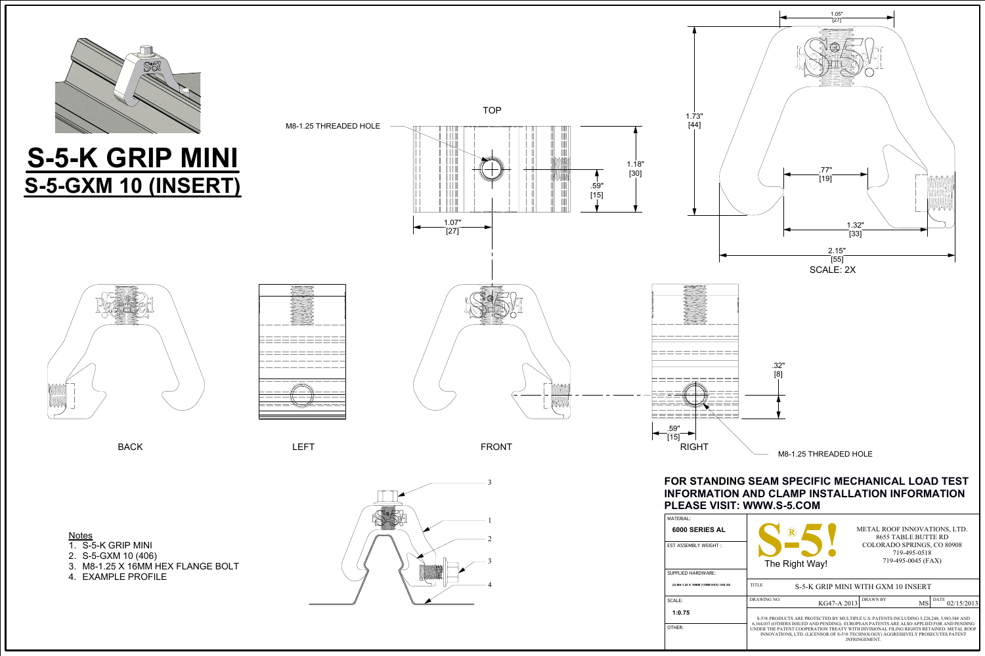

Patente

.59"

OTHER: **1:0.75**

| 6000 SERIES AL<br><b>EST ASSEMBLY WEIGHT:</b><br>SUPPLIED HARDWARE: | METAL ROOF INNOVATIONS, LTD.<br>8655 TABLE BUTTE RD<br><b>COLORADO SPRINGS, CO 80908</b><br>719-495-0518<br>719-495-0045 (FAX)<br>The Right Way!                                                                                                                                                                                                                                          |             |                       |                    |  |  |
|---------------------------------------------------------------------|-------------------------------------------------------------------------------------------------------------------------------------------------------------------------------------------------------------------------------------------------------------------------------------------------------------------------------------------------------------------------------------------|-------------|-----------------------|--------------------|--|--|
|                                                                     |                                                                                                                                                                                                                                                                                                                                                                                           |             |                       |                    |  |  |
| (2) M8-1.25 X 16MM (13MM HEX) 18/8 SS                               | <b>TITLE</b><br>S-5-K GRIP MINI WITH GXM 10 INSERT                                                                                                                                                                                                                                                                                                                                        |             |                       |                    |  |  |
| SCALE:                                                              | DRAWING NO.                                                                                                                                                                                                                                                                                                                                                                               | KG47-A 2013 | <b>DRAWN BY</b><br>MS | DATE<br>02/15/2013 |  |  |
| 1:0.75<br>OTHER:                                                    | S-5!® PRODUCTS ARE PROTECTED BY MULTIPLE U.S. PATENTS INCLUDING 5.228.248, 5.983.588 AND<br>6,164,033 (OTHERS ISSUED AND PENDING). EUROPEAN PATENTS ARE ALSO APPLIED FOR AND PENDING<br>UNDER THE PATENT COOPERATION TREATY WITH DIVISIONAL FILING RIGHTS RETAINED. METAL ROOF<br>INNOVATIONS, LTD. (LICENSOR OF S-5!® TECHNOLOGY) AGGRESSIVELY PROSECUTES PATENT<br><b>INFRINGEMENT.</b> |             |                       |                    |  |  |





## Notes

- 1. S-5-K GRIP MINI
- 2. S-5-GXM 10 (406)
- 3. M8-1.25 X 16MM HEX FLANGE BOLT
- 4. EXAMPLE PROFILE